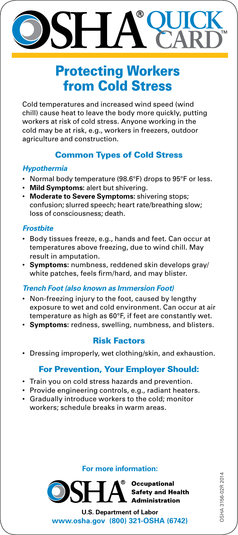# **QUICK CARD**

# Protecting Workers from Cold Stress

Cold temperatures and increased wind speed (wind chill) cause heat to leave the body more quickly, putting workers at risk of cold stress. Anyone working in the cold may be at risk, e.g., workers in freezers, outdoor agriculture and construction.

# Common Types of Cold Stress

## *Hypothermia*

- Normal body temperature (98.6°F) drops to 95°F or less.
- • **Mild Symptoms:** alert but shivering.
- • **Moderate to Severe Symptoms:** shivering stops; confusion; slurred speech; heart rate/breathing slow; loss of consciousness; death.

# *Frostbite*

- • Body tissues freeze, e.g., hands and feet. Can occur at temperatures above freezing, due to wind chill. May result in amputation.
- • **Symptoms:** numbness, reddened skin develops gray/ white patches, feels firm/hard, and may blister.

## *Trench Foot (also known as Immersion Foot)*

- Non-freezing injury to the foot, caused by lengthy exposure to wet and cold environment. Can occur at air temperature as high as 60°F, if feet are constantly wet.
- • **Symptoms:** redness, swelling, numbness, and blisters.

# Risk Factors

• Dressing improperly, wet clothing/skin, and exhaustion.

# For Prevention, Your Employer Should:

- Train you on cold stress hazards and prevention.
- Provide engineering controls, e.g., radiant heaters.
- • Gradually introduce workers to the cold; monitor workers; schedule breaks in warm areas.

#### **For more information:**



**U.S. Department of Labor www.osha.gov (800) 321-OSHA (6742)** DSHA 3156-02R 2014 OSHA 3156-02R 2014